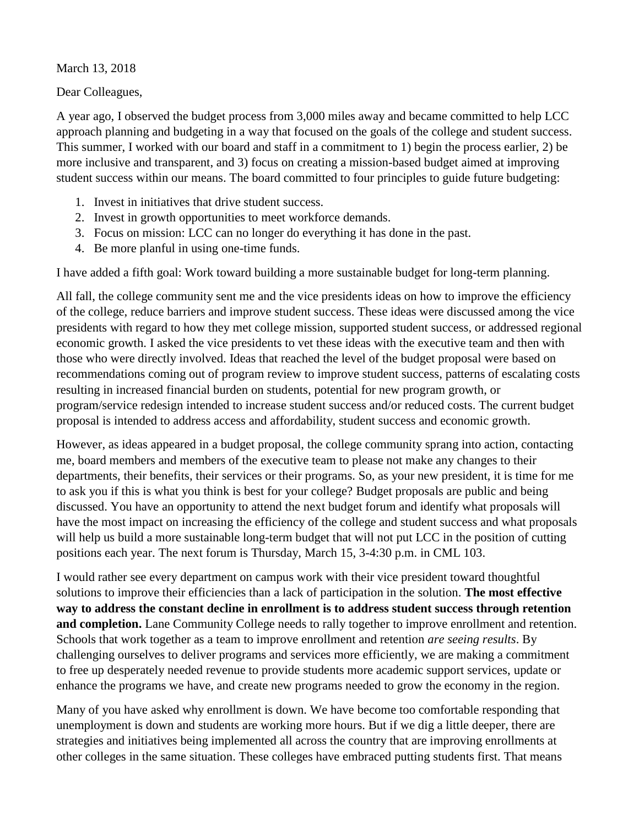March 13, 2018

Dear Colleagues,

A year ago, I observed the budget process from 3,000 miles away and became committed to help LCC approach planning and budgeting in a way that focused on the goals of the college and student success. This summer, I worked with our board and staff in a commitment to 1) begin the process earlier, 2) be more inclusive and transparent, and 3) focus on creating a mission-based budget aimed at improving student success within our means. The board committed to four principles to guide future budgeting:

- 1. Invest in initiatives that drive student success.
- 2. Invest in growth opportunities to meet workforce demands.
- 3. Focus on mission: LCC can no longer do everything it has done in the past.
- 4. Be more planful in using one-time funds.

I have added a fifth goal: Work toward building a more sustainable budget for long-term planning.

All fall, the college community sent me and the vice presidents ideas on how to improve the efficiency of the college, reduce barriers and improve student success. These ideas were discussed among the vice presidents with regard to how they met college mission, supported student success, or addressed regional economic growth. I asked the vice presidents to vet these ideas with the executive team and then with those who were directly involved. Ideas that reached the level of the budget proposal were based on recommendations coming out of program review to improve student success, patterns of escalating costs resulting in increased financial burden on students, potential for new program growth, or program/service redesign intended to increase student success and/or reduced costs. The current budget proposal is intended to address access and affordability, student success and economic growth.

However, as ideas appeared in a budget proposal, the college community sprang into action, contacting me, board members and members of the executive team to please not make any changes to their departments, their benefits, their services or their programs. So, as your new president, it is time for me to ask you if this is what you think is best for your college? Budget proposals are public and being discussed. You have an opportunity to attend the next budget forum and identify what proposals will have the most impact on increasing the efficiency of the college and student success and what proposals will help us build a more sustainable long-term budget that will not put LCC in the position of cutting positions each year. The next forum is Thursday, March 15, 3-4:30 p.m. in CML 103.

I would rather see every department on campus work with their vice president toward thoughtful solutions to improve their efficiencies than a lack of participation in the solution. **The most effective way to address the constant decline in enrollment is to address student success through retention and completion.** Lane Community College needs to rally together to improve enrollment and retention. Schools that work together as a team to improve enrollment and retention *are seeing results*. By challenging ourselves to deliver programs and services more efficiently, we are making a commitment to free up desperately needed revenue to provide students more academic support services, update or enhance the programs we have, and create new programs needed to grow the economy in the region.

Many of you have asked why enrollment is down. We have become too comfortable responding that unemployment is down and students are working more hours. But if we dig a little deeper, there are strategies and initiatives being implemented all across the country that are improving enrollments at other colleges in the same situation. These colleges have embraced putting students first. That means